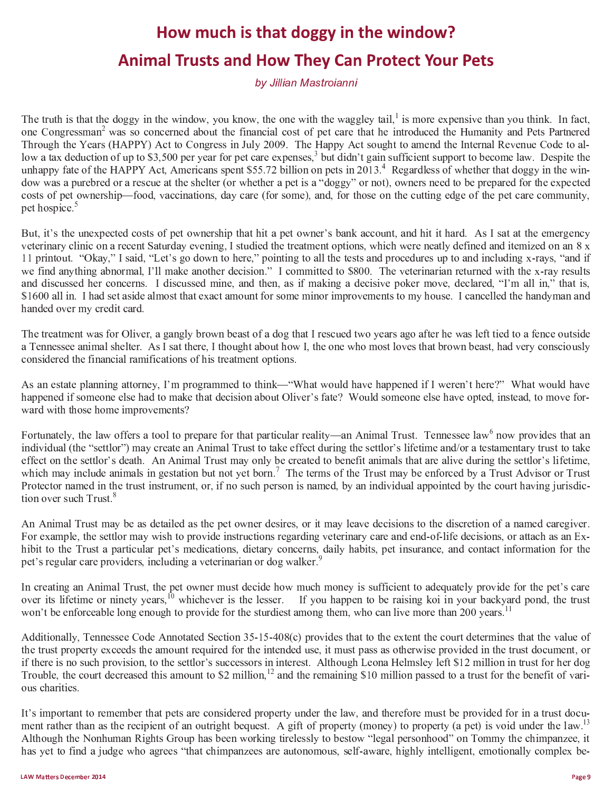## How much is that doggy in the window? **Animal Trusts and How They Can Protect Your Pets**

by Jillian Mastroianni

The truth is that the doggy in the window, you know, the one with the waggley tail, is more expensive than you think. In fact, one Congressman<sup>2</sup> was so concerned about the financial cost of pet care that he introduced the Humanity and Pets Partnered Through the Years (HAPPY) Act to Congress in July 2009. The Happy Act sought to amend the Internal Revenue Code to allow a tax deduction of up to \$3,500 per year for pet care expenses,<sup>3</sup> but didn't gain sufficient support to become law. Despite the unhappy fate of the HAPPY Act, Americans spent \$55.72 billion on pets in 2013.<sup>4</sup> Regardless of whether that doggy in the window was a purebred or a rescue at the shelter (or whether a pet is a "doggy" or not), owners need to be prepared for the expected costs of pet ownership—food, vaccinations, day care (for some), and, for those on the cutting edge of the pet care community, pet hospice.<sup>5</sup>

But, it's the unexpected costs of pet ownership that hit a pet owner's bank account, and hit it hard. As I sat at the emergency veterinary clinic on a recent Saturday evening, I studied the treatment options, which were neatly defined and itemized on an 8 x 11 printout. "Okay," I said, "Let's go down to here," pointing to all the tests and procedures up to and including x-rays, "and if we find anything abnormal, I'll make another decision." I committed to \$800. The veterinarian returned with the x-rav results and discussed her concerns. I discussed mine, and then, as if making a decisive poker move, declared, "I'm all in," that is, \$1600 all in. I had set aside almost that exact amount for some minor improvements to my house. I cancelled the handyman and handed over my credit card.

The treatment was for Oliver, a gangly brown beast of a dog that I rescued two years ago after he was left tied to a fence outside a Tennessee animal shelter. As I sat there, I thought about how I, the one who most loves that brown beast, had very consciously considered the financial ramifications of his treatment options.

As an estate planning attorney, I'm programmed to think—"What would have happened if I weren't here?" What would have happened if someone else had to make that decision about Oliver's fate? Would someone else have opted, instead, to move forward with those home improvements?

Fortunately, the law offers a tool to prepare for that particular reality—an Animal Trust. Tennessee law<sup>6</sup> now provides that an individual (the "settlor") may create an Animal Trust to take effect during the settlor's lifetime and/or a testamentary trust to take effect on the settlor's death. An Animal Trust may only be created to benefit animals that are alive during the settlor's lifetime, which may include animals in gestation but not yet born.<sup>7</sup> The terms of the Trust may be enforced by a Trust Advisor or Trust Protector named in the trust instrument, or, if no such person is named, by an individual appointed by the court having jurisdiction over such Trust.<sup>8</sup>

An Animal Trust may be as detailed as the pet owner desires, or it may leave decisions to the discretion of a named caregiver. For example, the settlor may wish to provide instructions regarding veterinary care and end-of-life decisions, or attach as an Exhibit to the Trust a particular pet's medications, dietary concerns, daily habits, pet insurance, and contact information for the pet's regular care providers, including a veterinarian or dog walker.

In creating an Animal Trust, the pet owner must decide how much money is sufficient to adequately provide for the pet's care over its lifetime or ninety years,<sup>10</sup> whichever is the lesser. If you happen to be raising koi in your backyard pond, the trust won't be enforceable long enough to provide for the sturdiest among them, who can live more than 200 years.<sup>11</sup>

Additionally, Tennessee Code Annotated Section 35-15-408(c) provides that to the extent the court determines that the value of the trust property exceeds the amount required for the intended use, it must pass as otherwise provided in the trust document, or if there is no such provision, to the settlor's successors in interest. Although Leona Helmsley left \$12 million in trust for her dog Trouble, the court decreased this amount to \$2 million,<sup>12</sup> and the remaining \$10 million passed to a trust for the benefit of various charities.

It's important to remember that pets are considered property under the law, and therefore must be provided for in a trust document rather than as the recipient of an outright bequest. A gift of property (money) to property (a pet) is void under the law.<sup>13</sup> Although the Nonhuman Rights Group has been working tirelessly to bestow "legal personhood" on Tommy the chimpanzee, it has yet to find a judge who agrees "that chimpanzees are autonomous, self-aware, highly intelligent, emotionally complex be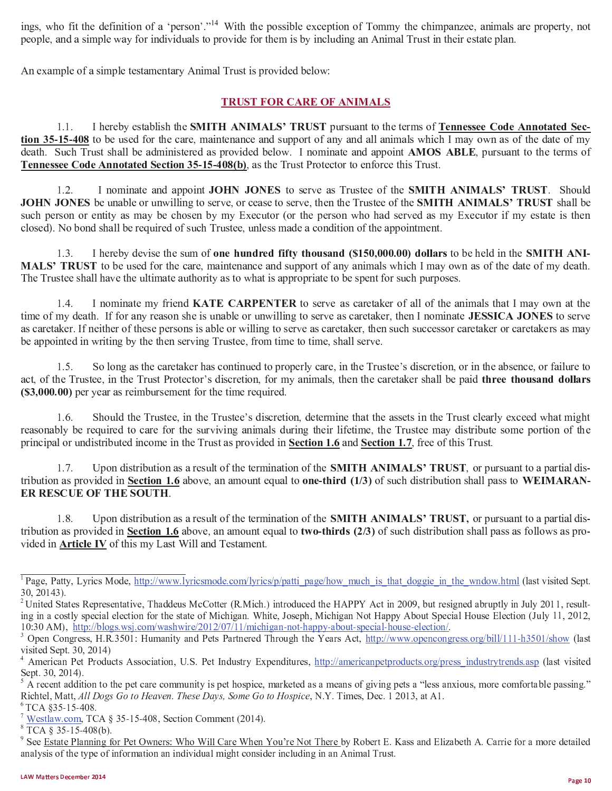ings, who fit the definition of a 'person'."<sup>14</sup> With the possible exception of Tommy the chimpanzee, animals are property, not people, and a simple way for individuals to provide for them is by including an Animal Trust in their estate plan.

An example of a simple testamentary Animal Trust is provided below:

## **TRUST FOR CARE OF ANIMALS**

 $1.1.$ I hereby establish the SMITH ANIMALS' TRUST pursuant to the terms of Tennessee Code Annotated Section 35-15-408 to be used for the care, maintenance and support of any and all animals which I may own as of the date of my death. Such Trust shall be administered as provided below. I nominate and appoint **AMOS ABLE**, pursuant to the terms of Tennessee Code Annotated Section 35-15-408(b), as the Trust Protector to enforce this Trust.

 $1.2.$ I nominate and appoint JOHN JONES to serve as Trustee of the SMITH ANIMALS' TRUST. Should JOHN JONES be unable or unwilling to serve, or cease to serve, then the Trustee of the SMITH ANIMALS' TRUST shall be such person or entity as may be chosen by my Executor (or the person who had served as my Executor if my estate is then closed). No bond shall be required of such Trustee, unless made a condition of the appointment.

 $1.3.$ I hereby devise the sum of one hundred fifty thousand (\$150,000.00) dollars to be held in the SMITH ANI-MALS' TRUST to be used for the care, maintenance and support of any animals which I may own as of the date of my death. The Trustee shall have the ultimate authority as to what is appropriate to be spent for such purposes.

 $1.4.$ I nominate my friend KATE CARPENTER to serve as caretaker of all of the animals that I may own at the time of my death. If for any reason she is unable or unwilling to serve as caretaker, then I nominate **JESSICA JONES** to serve as caretaker. If neither of these persons is able or willing to serve as caretaker, then such successor caretaker or caretakers as may be appointed in writing by the then serving Trustee, from time to time, shall serve.

 $1.5.$ So long as the caretaker has continued to properly care, in the Trustee's discretion, or in the absence, or failure to act, of the Trustee, in the Trust Protector's discretion, for my animals, then the caretaker shall be paid three thousand dollars (\$3,000.00) per year as reimbursement for the time required.

Should the Trustee, in the Trustee's discretion, determine that the assets in the Trust clearly exceed what might  $1.6.$ reasonably be required to care for the surviving animals during their lifetime, the Trustee may distribute some portion of the principal or undistributed income in the Trust as provided in Section 1.6 and Section 1.7, free of this Trust.

 $1.7.$ Upon distribution as a result of the termination of the **SMITH ANIMALS' TRUST**, or pursuant to a partial distribution as provided in Section 1.6 above, an amount equal to one-third  $(1/3)$  of such distribution shall pass to WEIMARAN-ER RESCUE OF THE SOUTH.

Upon distribution as a result of the termination of the **SMITH ANIMALS' TRUST**, or pursuant to a partial dis- $18$ tribution as provided in Section 1.6 above, an amount equal to two-thirds  $(2/3)$  of such distribution shall pass as follows as provided in **Article IV** of this my Last Will and Testament.

<sup>&</sup>lt;sup>1</sup> Page, Patty, Lyrics Mode, http://www.lyricsmode.com/lyrics/p/patti\_page/how\_much\_is\_that\_doggie\_in\_the\_wndow.html (last visited Sept.  $30, 20143$ ).

<sup>&</sup>lt;sup>2</sup> United States Representative, Thaddeus McCotter (R.Mich.) introduced the HAPPY Act in 2009, but resigned abruptly in July 2011, resulting in a costly special election for the state of Michigan. White, Joseph, Michigan Not Happy About Special House Election (July 11, 2012, 10:30 AM), http://blogs.wsj.com/washwire/2012/07/11/michigan-not-happy-about-special-house-election/.

<sup>&</sup>lt;sup>3</sup> Open Congress, H.R.3501: Humanity and Pets Partnered Through the Years Act, http://www.opencongress.org/bill/111-h3501/show (last visited Sept. 30, 2014)

<sup>&</sup>lt;sup>4</sup> American Pet Products Association, U.S. Pet Industry Expenditures, http://americanpetproducts.org/press industrytrends.asp (last visited Sept. 30, 2014).

A recent addition to the pet care community is pet hospice, marketed as a means of giving pets a "less anxious, more comfortable passing." Richtel, Matt, All Dogs Go to Heaven. These Days, Some Go to Hospice, N.Y. Times, Dec. 1 2013, at A1.

 $6$  TCA  $$35-15-408$ .

 $\frac{7 \text{ Westlaw.com}}{2014}$ , TCA § 35-15-408, Section Comment (2014).

 $8 \overline{TCA}$  § 35-15-408(b).

<sup>&</sup>lt;sup>9</sup> See Estate Planning for Pet Owners: Who Will Care When You're Not There by Robert E. Kass and Elizabeth A. Carrie for a more detailed analysis of the type of information an individual might consider including in an Animal Trust.